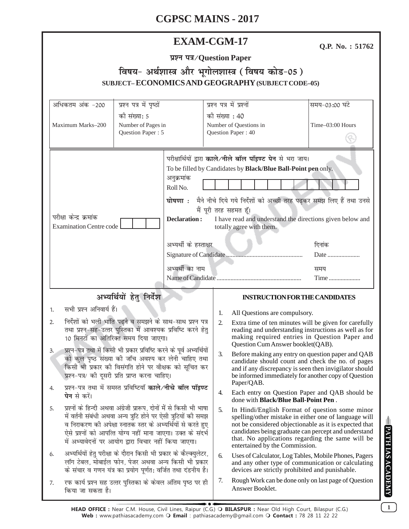| <b>EXAM-CGM-17</b> |
|--------------------|
|--------------------|

Q.P. No.: 51762

# प्रश्न पत्र/Question Paper विषय- अर्थशास्त्र और भूगोलशास्त्र (विषय कोड-05) SUBJECT-ECONOMICS AND GEOGRAPHY (SUBJECT CODE-05)

| अधिकतम अंक -200                                                                                                                                                                                                                                                                                                                                                                                                                   | प्रश्न पत्र में पृष्ठों                                                         |                                                                                                                                                                                                                                                                                                                                                                                                                                       | प्रश्न पत्र में प्रश्नों |                                                                                                                                                                                                                                                                                                                 | समय-03:00 घंटे                                                                                                                                                  |
|-----------------------------------------------------------------------------------------------------------------------------------------------------------------------------------------------------------------------------------------------------------------------------------------------------------------------------------------------------------------------------------------------------------------------------------|---------------------------------------------------------------------------------|---------------------------------------------------------------------------------------------------------------------------------------------------------------------------------------------------------------------------------------------------------------------------------------------------------------------------------------------------------------------------------------------------------------------------------------|--------------------------|-----------------------------------------------------------------------------------------------------------------------------------------------------------------------------------------------------------------------------------------------------------------------------------------------------------------|-----------------------------------------------------------------------------------------------------------------------------------------------------------------|
| Maximum Marks-200                                                                                                                                                                                                                                                                                                                                                                                                                 | को संख्या: 5<br>Number of Pages in<br>Question Paper: 5                         |                                                                                                                                                                                                                                                                                                                                                                                                                                       |                          | की संख्या : 40<br>Number of Questions in<br>Question Paper: 40                                                                                                                                                                                                                                                  | Time-03:00 Hours                                                                                                                                                |
| परीक्षा केन्द्र क्रमांक<br><b>Examination Centre code</b>                                                                                                                                                                                                                                                                                                                                                                         |                                                                                 | परीक्षार्थियों द्वारा काले/नीले बॉल पॉइण्ट पेन से भरा जाय।<br>To be filled by Candidates by Black/Blue Ball-Point pen only.<br>अनुक्रमांक<br>Roll No.<br>मैने नीचे दिये गये निर्देशों को अच्छी तरह पढ़कर समझ लिए हैं तथा उनसे<br>घोषणा <b>ः</b><br>मैं पूरी तरह सहमत हूँ।<br><b>Declaration:</b><br>I have read and understand the directions given below and<br>totally agree with them.<br>अभ्यर्थी के हस्ताक्षर<br>अभ्यर्थी का नाम |                          | दिनांक<br>Date<br>समय<br>Time                                                                                                                                                                                                                                                                                   |                                                                                                                                                                 |
| अभ्यर्थियों हेतु निर्देश                                                                                                                                                                                                                                                                                                                                                                                                          |                                                                                 |                                                                                                                                                                                                                                                                                                                                                                                                                                       |                          | <b>INSTRUCTION FOR THE CANDIDATES</b>                                                                                                                                                                                                                                                                           |                                                                                                                                                                 |
| सभी प्रश्न अनिवार्य हैं।                                                                                                                                                                                                                                                                                                                                                                                                          |                                                                                 |                                                                                                                                                                                                                                                                                                                                                                                                                                       |                          |                                                                                                                                                                                                                                                                                                                 |                                                                                                                                                                 |
| 1.<br>निर्देशों को भली भांति पढ़ने व समझने के साथ-साथ प्रश्न पत्र<br>2.<br>तथा प्रश्न-सह-उत्तर पुस्तिका में आवश्यक प्रविष्टि करने हेतु<br>10 मिनटों का अतिरिक्त समय दिया जाएगा।<br>प्रश्न–पत्र तथा में किसी भी प्रकार प्रविष्टि करने के पूर्व अभ्यर्थियों<br>3.<br>को कुल पृष्ठ संख्या की जाँच अवश्य कर लेनी चाहिए तथा<br>किसी भी प्रकार की विसंगति होने पर वीक्षक को सूचित कर<br>प्रश्न-पत्र/ की दूसरी प्रति प्राप्त करना चाहिए। |                                                                                 |                                                                                                                                                                                                                                                                                                                                                                                                                                       | 1.<br>$\overline{2}$     | All Questions are compulsory.<br>Question Cum Answer booklet(QAB).                                                                                                                                                                                                                                              | Extra time of ten minutes will be given for carefully<br>reading and understanding instructions as well as for<br>making required entries in Question Paper and |
|                                                                                                                                                                                                                                                                                                                                                                                                                                   |                                                                                 |                                                                                                                                                                                                                                                                                                                                                                                                                                       | 3.                       | Before making any entry on question paper and QAB<br>candidate should count and check the no. of pages<br>and if any discrepancy is seen then invigilator should<br>be informed immediately for another copy of Question<br>Paper/QAB.                                                                          |                                                                                                                                                                 |
| प्रश्न-पत्र तथा में समस्त प्रविष्टियाँ <b>काले/नीचे बॉल पॉइण्ट</b><br><b>पेन</b> से करें।                                                                                                                                                                                                                                                                                                                                         |                                                                                 |                                                                                                                                                                                                                                                                                                                                                                                                                                       | 4.                       | done with <b>Black/Blue Ball-Point Pen</b> .                                                                                                                                                                                                                                                                    | Each entry on Question Paper and QAB should be                                                                                                                  |
| प्रश्नों के हिन्दी अथवा अंग्रेजी प्रारूप, दोनों में से किसी भी भाषा<br>5.<br>में वर्तनी संबंधी अथवा अन्य त्रुटि होने पर ऐसी त्रुटियों की समझ<br>व निराकरण की अपेक्षा स्नातक स्तर के अभ्यर्थियों से करते हुए<br>ऐसे प्रश्नों को आपत्ति योग्य नहीं माना जाएगा। उक्त के संदर्भ<br>में अभ्यावेदनों पर आयोग द्वारा विचार नहीं किया जाएगा।                                                                                              |                                                                                 |                                                                                                                                                                                                                                                                                                                                                                                                                                       | 5.                       | In Hindi/English Format of question some minor<br>spelling/other mistake in either one of language will<br>not be considered objectionable as it is expected that<br>candidates being graduate can percept and understand<br>that. No applications regarding the same will be<br>entertained by the Commission. |                                                                                                                                                                 |
| अभ्यर्थियों हेतु परीक्षा के दौरान किसी भी प्रकार के कैल्क्युलेटर,<br>6.<br>लॉग टेबल, मोबाईल फोन, पेजर अथवा अन्य किसी भी प्रकार<br>के संचार व गणन यंत्र का प्रयोग पूर्णत: वर्जित तथा दंडनीय है।                                                                                                                                                                                                                                    |                                                                                 |                                                                                                                                                                                                                                                                                                                                                                                                                                       | 6.                       | Uses of Calculator, Log Tables, Mobile Phones, Pagers<br>and any other type of communication or calculating<br>devices are strictly prohibited and punishable.                                                                                                                                                  |                                                                                                                                                                 |
| 7.                                                                                                                                                                                                                                                                                                                                                                                                                                | रफ कार्य प्रश्न सह उत्तर पुस्तिका के केवल अंतिम पृष्ठ पर ही<br>किया जा सकता है। |                                                                                                                                                                                                                                                                                                                                                                                                                                       |                          | Rough Work can be done only on last page of Question<br>Answer Booklet.                                                                                                                                                                                                                                         |                                                                                                                                                                 |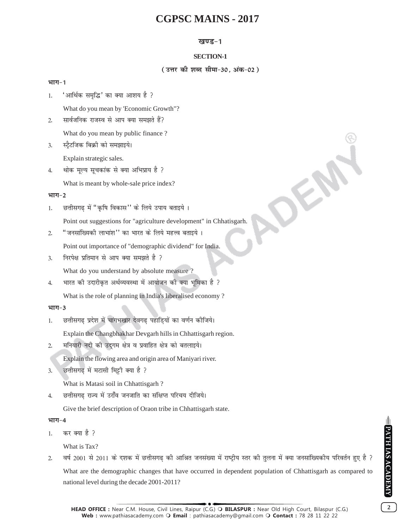## **खण्ड-1**

## **SECTION-1**

## ( उत्तर की शब्द सीमा-30, अंक-02)

OEN

## भाग-1

1. 'आर्थिक समृद्धि' का क्या आशय है ?

What do you mean by 'Economic Growth"?

- 2. सार्वजनिक राजस्व से आप क्या समझते हैं? What do you mean by public finance ?
- 3. स्टैटजिक बिक्री को समझाइये।

Explain strategic sales.

4. थोक मूल्य सूचकांक से क्या अभिप्राय है ?

What is meant by whole-sale price index?

## भाग-2

1. छत्तीसगढ में "कृषि विकास" के लिये उपाय बताइये ।

Point out suggestions for "agriculture development" in Chhatisgarh.

2. "जनसांख्यिकी लाभांश'' का भारत के लिये महत्त्व बताइये।

Point out importance of "demographic dividend" for India.

3. निरपेक्ष प्रतिमान से आप क्या समझते है ?

What do you understand by absolute measure ?

4. भारत की उदारीकृत अर्थव्यवस्था में आयोजन की क्या भूमिका है ? What is the role of planning in India's liberalised economy ?

## भाग-3

1. छत्तीसगढ प्रदेश में चांगभखार देवगढ पहाडियों का वर्णन कीजिये।

Explain the Changbhakhar Devgarh hills in Chhattisgarh region.

2. मनियारी नदी की उद्गम क्षेत्र व प्रवाहित क्षेत्र को बतलाइये।

Explain the flowing area and origin area of Maniyari river.

3. छत्तीसगढ में मटासी मिट्टी क्या है ?

What is Matasi soil in Chhattisgarh ?

4. व्हितीसगढ राज्य में उराँव जनजाति का संक्षिप्त परिचय दीजिये।

Give the brief description of Oraon tribe in Chhattisgarh state.

## भाग-4

 $1.$  कर क्या है ?

What is Tax?

2. वर्ष 2001 से 2011 के दशक में छत्तीसगढ की आश्रित जनसंख्या में राष्ट्रीय स्तर की तुलना में क्या जनसांख्यिकीय परिवर्तन हुए है ? What are the demographic changes that have occurred in dependent population of Chhattisgarh as compared to national level during the decade 2001-2011?

**2**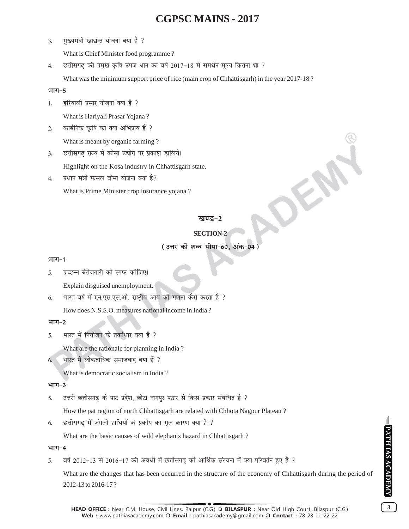3. मुख्यमंत्री खाद्यन्त योजना क्या है ?

What is Chief Minister food programme ?

4. छत्तीसगढ़ की प्रमुख कृषि उपज धान का वर्ष 2017-18 में समर्थन मूल्य कितना था ?

What was the minimum support price of rice (main crop of Chhattisgarh) in the year 2017-18?

#### भाग-5

1. हरियाली प्रसार योजना क्या है ?

What is Hariyali Prasar Yojana ?

2. कार्बनिक कृषि का क्या अभिप्राय है ?

What is meant by organic farming ?

3. छत्तीसगढ़ राज्य में कोसा उद्योग पर प्रकाश डालिये।

Highlight on the Kosa industry in Chhattisgarh state.

4. प्रधान मंत्री फसल बीमा योजना क्या है?

What is Prime Minister crop insurance yojana ?

## खण्ड-2

## **SECTION-2**

OFF

## ( उत्तर की शब्द सीमा-60, अंक-04

## **भाग-1**

5. प्रच्छन्न बेरोजगारी को स्पष्ट कीजिए।

Explain disguised unemployment.

6. भारत वर्ष में एन.एस.एस.ओ. राष्ट्रीय आय की गणना कैसे करता है ?

How does N.S.S.O. measures national income in India ?

## भाग-2

5. भारत में नियोजन के तर्काधार क्या है ?

What are the rationale for planning in India ?

 $6.$  भारत में लोकतांत्रिक समाजवाद क्या हैं ?

What is democratic socialism in India ?

## भाग-3

5. उत्तरी छत्तीसगढ के पाट प्रदेश, छोटा नागपुर पठार से किस प्रकार संबंधित है ?

How the pat region of north Chhattisgarh are related with Chhota Nagpur Plateau ?

6. व्हिनीसगढ में जंगली हाथियों के प्रकोप का मूल कारण क्या है ?

What are the basic causes of wild elephants hazard in Chhattisgarh ?

## भाग-4

5. वर्ष 2012-13 से 2016-17 की अवधी में छत्तीसगढ की आर्थिक संरचना में क्या परिवर्तन हुए है ?

What are the changes that has been occurred in the structure of the economy of Chhattisgarh during the period of 2012-13 to 2016-17 ?

PATH IAS ACADEMY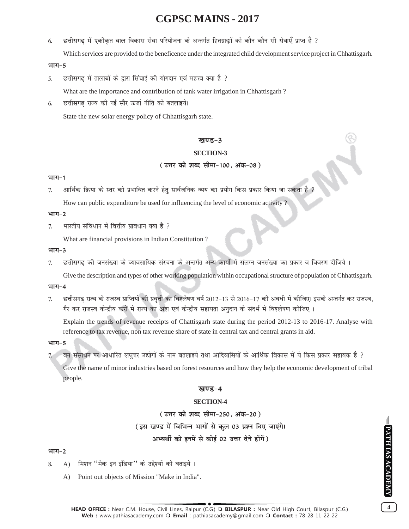6. छत्तीसगढ में एकीकृत बाल विकास सेवा परियोजना के अन्तर्गत हितग्राह्यों को कौन कौन सी सेवाएँ प्राप्त है ?

Which services are provided to the beneficence under the integrated child development service project in Chhattisgarh.

#### भाग-5

5. छत्तीसगढ में तालाबों के द्वारा सिंचाई की योगदान एवं महत्त्व क्या है ?

What are the importance and contribution of tank water irrigation in Chhattisgarh ?

6. छत्तीसगढ राज्य की नई सौर ऊर्जा नीति को बतलाइये।

State the new solar energy policy of Chhattisgarh state.

#### **खण्ड-3**

#### **SECTION-3**

#### ( उत्तर की शब्द सीमा-100, अंक-08 )

#### भाग-1

 $7.$   $\,$  आर्थिक क्रिया के स्तर को प्रभावित करने हेतु सार्वजनिक व्यय का प्रयोग किस प्रकार किया जा सकता है  $\,$ 

How can public expenditure be used for influencing the level of economic activity ?

#### भाग-2

 $7.$  भारतीय संविधान में वित्तीय प्रावधान क्या है ?

What are financial provisions in Indian Constitution ?

#### भाग-3

7. छत्तीसगढ की जनसंख्या के व्यावसायिक संरचना के अन्तर्गत अन्य कार्यों में संलग्न जनसंख्या का प्रकार व विवरण दीजिये ।

Give the description and types of other working population within occupational structure of population of Chhattisgarh.

#### भाग-4

7. छत्तीसगढ राज्य के राजस्व प्राप्तियों की प्रवृत्ती का विश्लेषण वर्ष 2012-13 से 2016-17 की अवधी में कीजिए। इसके अन्तर्गत कर राजस्व, गैर कर राजस्व केन्द्रीय करों में राज्य का अंश एवं केन्द्रीय सहायता अनुदान के संदर्भ में विश्लेषण कीजिए ।

Explain the trends of revenue receipts of Chattisgarh state during the period 2012-13 to 2016-17. Analyse with reference to tax revenue, non tax revenue share of state in central tax and central grants in aid.

#### भाग-5

7. वन संसाधन पर आधारित लघुत्तर उद्योगों के नाम बतलाइये तथा आदिवासियों के आर्थिक विकास में ये किस प्रकार सहायक है ?

Give the name of minor industries based on forest resources and how they help the economic development of tribal people.

#### खण्ड-4

#### **SECTION-4**

( उत्तर की शब्द सीमा-250, अंक-20 ) (इस खण्ड में विभिन्न भागों से कुल 03 प्रश्न दिए जाएंगे। अभ्यर्थी को इनमें से कोई 02 उत्तर देने होंगें)

#### भाग-2

- 8. A) मिशन "मेक इन इंडिया'' के उद्देश्यों को बताइये ।
	- A) Point out objects of Mission "Make in India".